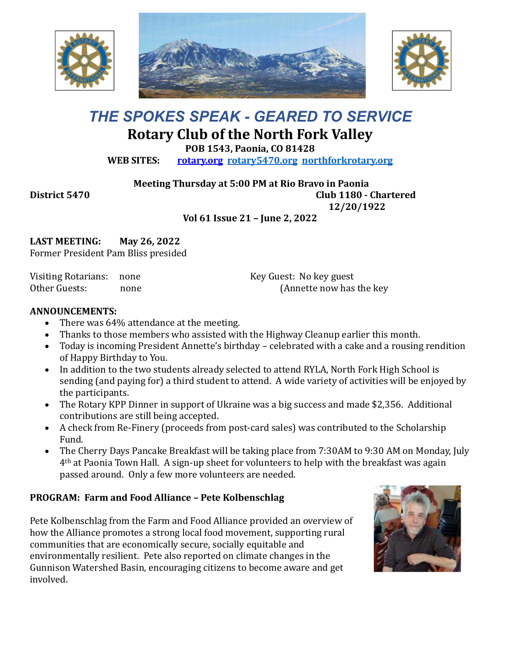





# *THE SPOKES SPEAK - GEARED TO SERVICE* **Rotary Club of the North Fork Valley**

**POB 1543, Paonia, CO 81428**

**WEB SITES: [rotary.org](http://www.rotary.org/) [rotary5470.org](http://rotary5470.org/) [northforkrotary.org](http://www.northforkrotary.org/)**

**Meeting Thursday at 5:00 PM at Rio Bravo in Paonia**

**District 5470 Club 1180 - Chartered 12/20/1922**

**Vol 61 Issue 21 – June 2, 2022**

**LAST MEETING: May 26, 2022** Former President Pam Bliss presided

Visiting Rotarians: none Other Guests: none Key Guest: No key guest (Annette now has the key

## **ANNOUNCEMENTS:**

- There was 64% attendance at the meeting.
- Thanks to those members who assisted with the Highway Cleanup earlier this month.
- Today is incoming President Annette's birthday celebrated with a cake and a rousing rendition of Happy Birthday to You.
- In addition to the two students already selected to attend RYLA, North Fork High School is sending (and paying for) a third student to attend. A wide variety of activities will be enjoyed by the participants.
- The Rotary KPP Dinner in support of Ukraine was a big success and made \$2,356. Additional contributions are still being accepted.
- A check from Re-Finery (proceeds from post-card sales) was contributed to the Scholarship Fund.
- The Cherry Days Pancake Breakfast will be taking place from 7:30AM to 9:30 AM on Monday, July 4th at Paonia Town Hall. A sign-up sheet for volunteers to help with the breakfast was again passed around. Only a few more volunteers are needed.

## **PROGRAM: Farm and Food Alliance – Pete Kolbenschlag**

Pete Kolbenschlag from the Farm and Food Alliance provided an overview of how the Alliance promotes a strong local food movement, supporting rural communities that are economically secure, socially equitable and environmentally resilient. Pete also reported on climate changes in the Gunnison Watershed Basin, encouraging citizens to become aware and get involved.